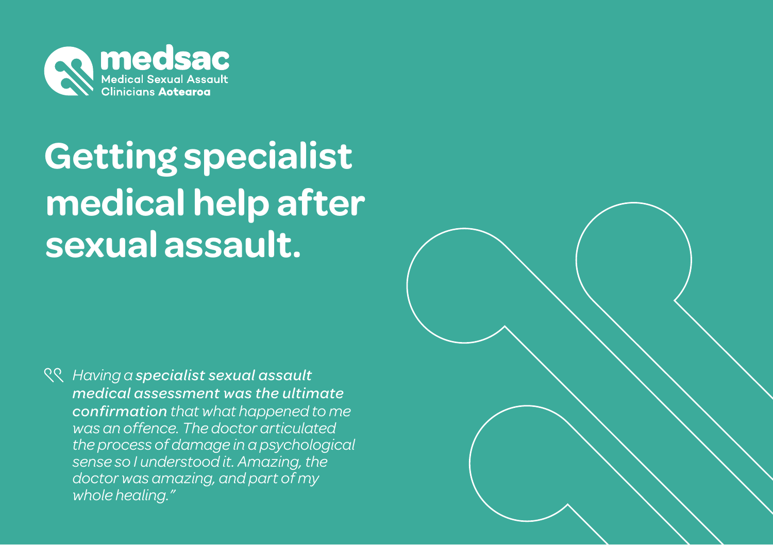

# **Getting specialist sexual assault. medical help after**

*Having a specialist sexual assault medical assessment was the ultimate confirmation that what happened to me was an offence. The doctor articulated the process of damage in a psychological sense so I understood it. Amazing, the doctor was amazing, and part of my whole healing."*

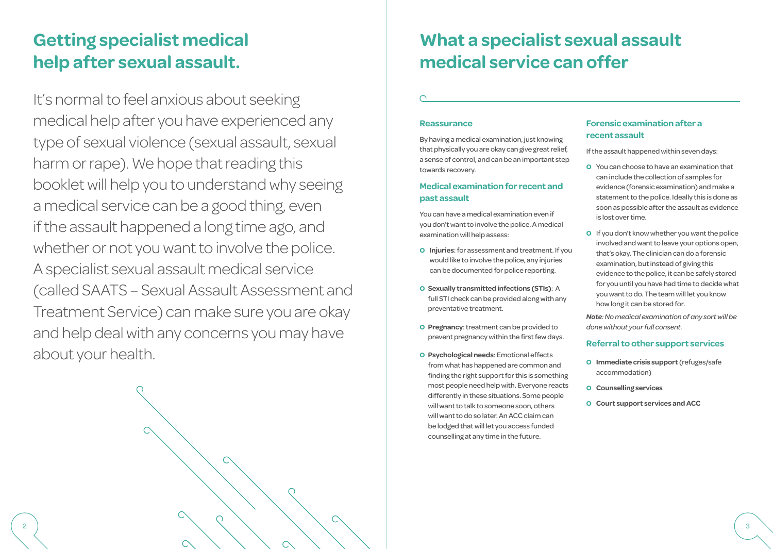## **Getting specialist medical help after sexual assault.**

It's normal to feel anxious about seeking medical help after you have experienced any type of sexual violence (sexual assault, sexual harm or rape). We hope that reading this booklet will help you to understand why seeing a medical service can be a good thing, even if the assault happened a long time ago, and whether or not you want to involve the police. A specialist sexual assault medical service (called SAATS – Sexual Assault Assessment and Treatment Service) can make sure you are okay and help deal with any concerns you may have about your health.

◯

## **What a specialist sexual assault medical service can offer**

#### **Reassurance**

By having a medical examination, just knowing that physically you are okay can give great relief, a sense of control, and can be an important step towards recovery.

### **Medical examination for recent and past assault**

You can have a medical examination even if you don't want to involve the police. A medical examination will help assess:

- **o Injuries**: for assessment and treatment. If you would like to involve the police, any injuries can be documented for police reporting.
- **o Sexually transmitted infections (STIs)**: A full STI check can be provided along with any preventative treatment.
- **o Pregnancy**: treatment can be provided to prevent pregnancy within the first few days.
- **o Psychological needs**: Emotional effects from what has happened are common and finding the right support for this is something most people need help with. Everyone reacts differently in these situations. Some people will want to talk to someone soon, others will want to do so later. An ACC claim can be lodged that will let you access funded counselling at any time in the future.

### **Forensic examination after a recent assault**

If the assault happened within seven days:

- **o** You can choose to have an examination that can include the collection of samples for evidence (forensic examination) and make a statement to the police. Ideally this is done as soon as possible after the assault as evidence is lost over time.
- **o** If you don't know whether you want the police involved and want to leave your options open, that's okay. The clinician can do a forensic examination, but instead of giving this evidence to the police, it can be safely stored for you until you have had time to decide what you want to do. The team will let you know how long it can be stored for.

*Note: No medical examination of any sort will be done without your full consent.*

#### **Referral to other support services**

- **o Immediate crisis support** (refuges/safe accommodation)
- **o Counselling services**
- **o Court support services and ACC**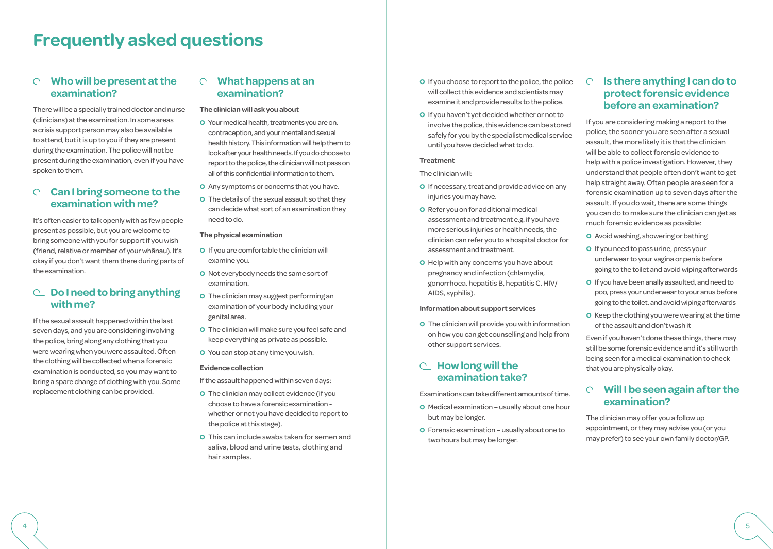## **Frequently asked questions**

### **Who will be present at the examination?**

There will be a specially trained doctor and nurse (clinicians) at the examination. In some areas a crisis support person may also be available to attend, but it is up to you if they are present during the examination. The police will not be present during the examination, even if you have spoken to them.

### **Can I bring someone to the examination with me?**

It's often easier to talk openly with as few people present as possible, but you are welcome to bring someone with you for support if you wish (friend, relative or member of your whanau). It's okay if you don't want them there during parts of the examination.

## **Do I need to bring anything with me?**

If the sexual assault happened within the last seven days, and you are considering involving the police, bring along any clothing that you were wearing when you were assaulted. Often the clothing will be collected when a forensic examination is conducted, so you may want to bring a spare change of clothing with you. Some replacement clothing can be provided.

## **What happens at an examination?**

#### **The clinician will ask you about**

- **o** Your medical health, treatments you are on, contraception, and your mental and sexual health history. This information will help them to look after your health needs. If you do choose to report to the police, the clinician will not pass on all of this confidential information to them.
- **o** Any symptoms or concerns that you have.
- **o** The details of the sexual assault so that they can decide what sort of an examination they need to do.

#### **The physical examination**

- **o** If you are comfortable the clinician will examine you.
- **o** Not everybody needs the same sort of examination.
- **o** The clinician may suggest performing an examination of your body including your genital area.
- **o** The clinician will make sure you feel safe and keep everything as private as possible.
- **o** You can stop at any time you wish.

#### **Evidence collection**

If the assault happened within seven days:

- **o** The clinician may collect evidence (if you choose to have a forensic examination whether or not you have decided to report to the police at this stage).
- **o** This can include swabs taken for semen and saliva, blood and urine tests, clothing and hair samples.
- **o** If you choose to report to the police, the police will collect this evidence and scientists may examine it and provide results to the police.
- **o** If you haven't yet decided whether or not to involve the police, this evidence can be stored safely for you by the specialist medical service until you have decided what to do.

#### **Treatment**

The clinician will:

- **o** If necessary, treat and provide advice on any injuries you may have.
- **o** Refer you on for additional medical assessment and treatment e.g. if you have more serious injuries or health needs, the clinician can refer you to a hospital doctor for assessment and treatment.
- **o** Help with any concerns you have about pregnancy and infection (chlamydia, gonorrhoea, hepatitis B, hepatitis C, HIV/ AIDS, syphilis).

#### **Information about support services**

**o** The clinician will provide you with information on how you can get counselling and help from other support services.

## **How long will the examination take?**

Examinations can take different amounts of time.

- **o** Medical examination usually about one hour but may be longer.
- **o** Forensic examination usually about one to two hours but may be longer.

## **Is there anything I can do to protect forensic evidence before an examination?**

If you are considering making a report to the police, the sooner you are seen after a sexual assault, the more likely it is that the clinician will be able to collect forensic evidence to help with a police investigation. However, they understand that people often don't want to get help straight away. Often people are seen for a forensic examination up to seven days after the assault. If you do wait, there are some things you can do to make sure the clinician can get as much forensic evidence as possible:

- **o** Avoid washing, showering or bathing
- **o** If you need to pass urine, press your underwear to your vagina or penis before going to the toilet and avoid wiping afterwards
- **o** If you have been anally assaulted, and need to poo, press your underwear to your anus before going to the toilet, and avoid wiping afterwards
- **o** Keep the clothing you were wearing at the time of the assault and don't wash it

Even if you haven't done these things, there may still be some forensic evidence and it's still worth being seen for a medical examination to check that you are physically okay.

## **Will I be seen again after the examination?**

The clinician may offer you a follow up appointment, or they may advise you (or you may prefer) to see your own family doctor/GP.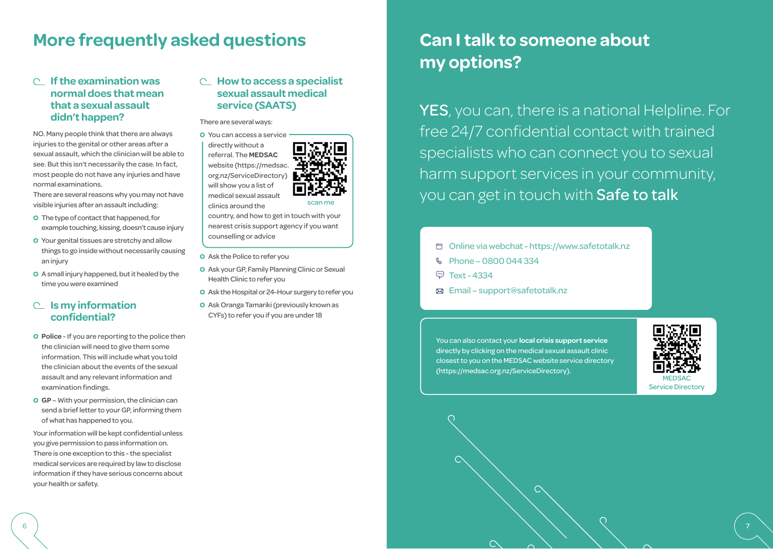## **More frequently asked questions**

## **If the examination was normal does that mean that a sexual assault didn't happen?**

NO. Many people think that there are always injuries to the genital or other areas after a sexual assault, which the clinician will be able to see. But this isn't necessarily the case. In fact, most people do not have any injuries and have normal examinations.

There are several reasons why you may not have visible injuries after an assault including:

- **o** The type of contact that happened, for example touching, kissing, doesn't cause injury
- **o** Your genital tissues are stretchy and allow things to go inside without necessarily causing an injury
- **o** A small injury happened, but it healed by the time you were examined

## **Is my information confidential?**

- **o Police** If you are reporting to the police then the clinician will need to give them some information. This will include what you told the clinician about the events of the sexual assault and any relevant information and examination findings.
- **o GP** With your permission, the clinician can send a brief letter to your GP, informing them of what has happened to you.

Your information will be kept confidential unless you give permission to pass information on. There is one exception to this - the specialist medical services are required by law to disclose information if they have serious concerns about your health or safety.

## **How to access a specialist sexual assault medical service (SAATS)**

#### There are several ways:

**o** You can access a service directly without a referral. The **MEDSAC** website (https://medsac. org.nz/ServiceDirectory) will show you a list of medical sexual assault



scan me

clinics around the

country, and how to get in touch with your nearest crisis support agency if you want counselling or advice

- **o** Ask the Police to refer you
- **o** Ask your GP, Family Planning Clinic or Sexual Health Clinic to refer you
- **o** Ask the Hospital or 24-Hour surgery to refer you
- **o** Ask Oranga Tamariki (previously known as CYFs) to refer you if you are under 18

## **Can I talk to someone about my options?**

YES, you can, there is a national Helpline. For free 24/7 confidential contact with trained specialists who can connect you to sexual harm support services in your community, you can get in touch with Safe to talk

- Online via webchat https://www.safetotalk.nz
- **& Phone 0800 044 334**
- **ED** Text 4334
- Email support@safetotalk.nz

You can also contact your **local crisis support service** directly by clicking on the medical sexual assault clinic closest to you on the MEDSAC website service directory (https://medsac.org.nz/ServiceDirectory).